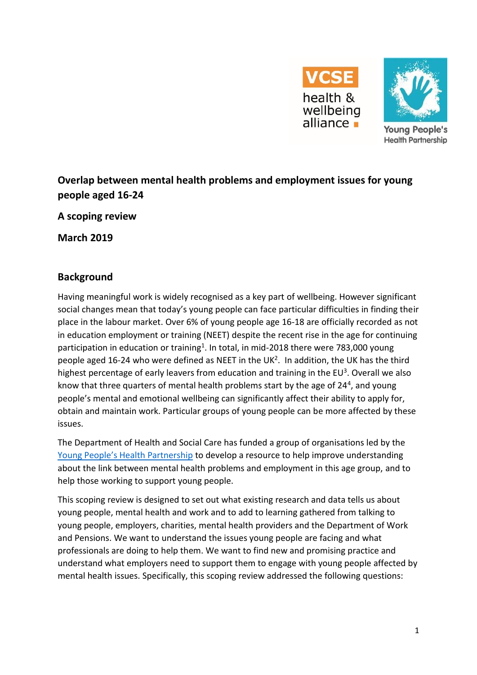



**Young People's Health Partnership** 

# **Overlap between mental health problems and employment issues for young people aged 16-24**

**A scoping review**

**March 2019**

### **Background**

Having meaningful work is widely recognised as a key part of wellbeing. However significant social changes mean that today's young people can face particular difficulties in finding their place in the labour market. Over 6% of young people age 16-18 are officially recorded as not in education employment or training (NEET) despite the recent rise in the age for continuing participation in education or training<sup>1</sup>. In total, in mid-2018 there were 783,000 young people aged 16-24 who were defined as NEET in the UK<sup>2</sup>. In addition, the UK has the third highest percentage of early leavers from education and training in the EU<sup>3</sup>. Overall we also know that three quarters of mental health problems start by the age of 24<sup>4</sup>, and young people's mental and emotional wellbeing can significantly affect their ability to apply for, obtain and maintain work. Particular groups of young people can be more affected by these issues.

The Department of Health and Social Care has funded a group of organisations led by the [Young People's Health Partnership](http://www.youngpeopleshealth.org.uk/yphp) to develop a resource to help improve understanding about the link between mental health problems and employment in this age group, and to help those working to support young people.

This scoping review is designed to set out what existing research and data tells us about young people, mental health and work and to add to learning gathered from talking to young people, employers, charities, mental health providers and the Department of Work and Pensions. We want to understand the issues young people are facing and what professionals are doing to help them. We want to find new and promising practice and understand what employers need to support them to engage with young people affected by mental health issues. Specifically, this scoping review addressed the following questions: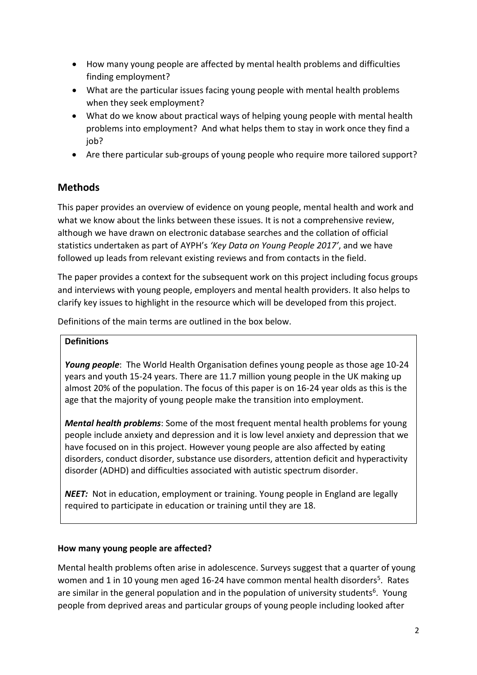- How many young people are affected by mental health problems and difficulties finding employment?
- What are the particular issues facing young people with mental health problems when they seek employment?
- What do we know about practical ways of helping young people with mental health problems into employment? And what helps them to stay in work once they find a job?
- Are there particular sub-groups of young people who require more tailored support?

### **Methods**

This paper provides an overview of evidence on young people, mental health and work and what we know about the links between these issues. It is not a comprehensive review, although we have drawn on electronic database searches and the collation of official statistics undertaken as part of AYPH's *'Key Data on Young People 2017'*, and we have followed up leads from relevant existing reviews and from contacts in the field.

The paper provides a context for the subsequent work on this project including focus groups and interviews with young people, employers and mental health providers. It also helps to clarify key issues to highlight in the resource which will be developed from this project.

Definitions of the main terms are outlined in the box below.

#### **Definitions**

*Young people*: The World Health Organisation defines young people as those age 10-24 years and youth 15-24 years. There are 11.7 million young people in the UK making up almost 20% of the population. The focus of this paper is on 16-24 year olds as this is the age that the majority of young people make the transition into employment.

*Mental health problems*: Some of the most frequent mental health problems for young people include anxiety and depression and it is low level anxiety and depression that we have focused on in this project. However young people are also affected by eating disorders, conduct disorder, substance use disorders, attention deficit and hyperactivity disorder (ADHD) and difficulties associated with autistic spectrum disorder.

*NEET:* Not in education, employment or training. Young people in England are legally required to participate in education or training until they are 18.

#### **How many young people are affected?**

Mental health problems often arise in adolescence. Surveys suggest that a quarter of young women and 1 in 10 young men aged 16-24 have common mental health disorders<sup>5</sup>. Rates are similar in the general population and in the population of university students<sup>6</sup>. Young people from deprived areas and particular groups of young people including looked after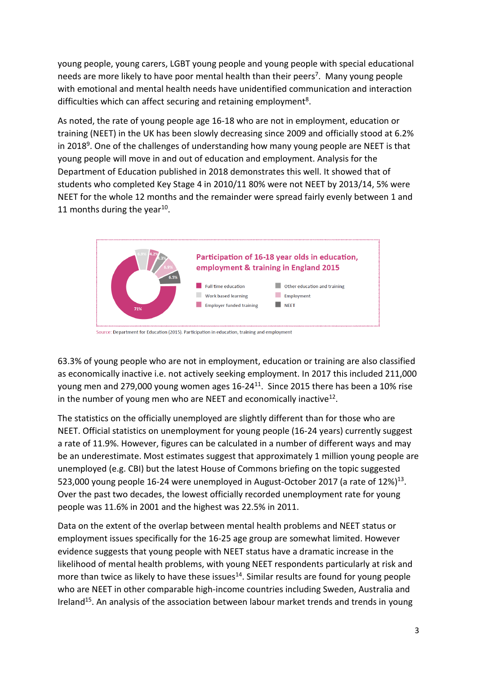young people, young carers, LGBT young people and young people with special educational needs are more likely to have poor mental health than their peers<sup>7</sup>. Many young people with emotional and mental health needs have unidentified communication and interaction difficulties which can affect securing and retaining employment<sup>8</sup>.

As noted, the rate of young people age 16-18 who are not in employment, education or training (NEET) in the UK has been slowly decreasing since 2009 and officially stood at 6.2% in 2018<sup>9</sup>. One of the challenges of understanding how many young people are NEET is that young people will move in and out of education and employment. Analysis for the Department of Education published in 2018 demonstrates this well. It showed that of students who completed Key Stage 4 in 2010/11 80% were not NEET by 2013/14, 5% were NEET for the whole 12 months and the remainder were spread fairly evenly between 1 and 11 months during the year<sup>10</sup>.



63.3% of young people who are not in employment, education or training are also classified as economically inactive i.e. not actively seeking employment. In 2017 this included 211,000 young men and 279,000 young women ages  $16-24^{11}$ . Since 2015 there has been a 10% rise in the number of young men who are NEET and economically inactive<sup>12</sup>.

The statistics on the officially unemployed are slightly different than for those who are NEET. Official statistics on unemployment for young people (16-24 years) currently suggest a rate of 11.9%. However, figures can be calculated in a number of different ways and may be an underestimate. Most estimates suggest that approximately 1 million young people are unemployed (e.g. CBI) but the latest House of Commons briefing on the topic suggested 523,000 young people 16-24 were unemployed in August-October 2017 (a rate of  $12\%/13}$ . Over the past two decades, the lowest officially recorded unemployment rate for young people was 11.6% in 2001 and the highest was 22.5% in 2011.

Data on the extent of the overlap between mental health problems and NEET status or employment issues specifically for the 16-25 age group are somewhat limited. However evidence suggests that young people with NEET status have a dramatic increase in the likelihood of mental health problems, with young NEET respondents particularly at risk and more than twice as likely to have these issues<sup>14</sup>. Similar results are found for young people who are NEET in other comparable high-income countries including Sweden, Australia and Ireland<sup>15</sup>. An analysis of the association between labour market trends and trends in young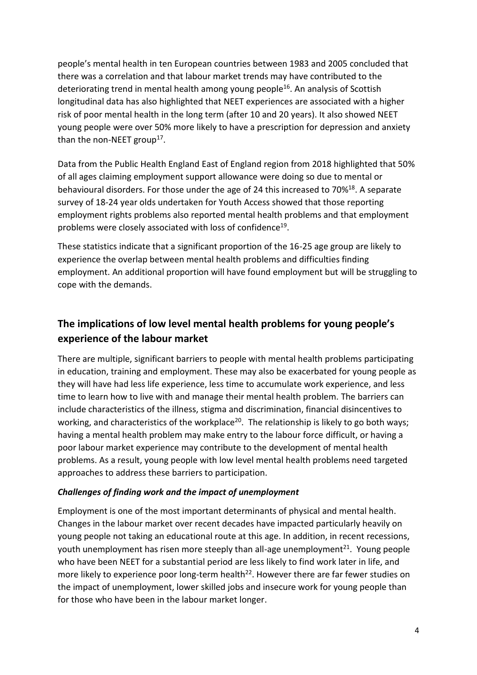people's mental health in ten European countries between 1983 and 2005 concluded that there was a correlation and that labour market trends may have contributed to the deteriorating trend in mental health among young people<sup>16</sup>. An analysis of Scottish longitudinal data has also highlighted that NEET experiences are associated with a higher risk of poor mental health in the long term (after 10 and 20 years). It also showed NEET young people were over 50% more likely to have a prescription for depression and anxiety than the non-NEET group<sup>17</sup>.

Data from the Public Health England East of England region from 2018 highlighted that 50% of all ages claiming employment support allowance were doing so due to mental or behavioural disorders. For those under the age of 24 this increased to 70%<sup>18</sup>. A separate survey of 18-24 year olds undertaken for Youth Access showed that those reporting employment rights problems also reported mental health problems and that employment problems were closely associated with loss of confidence<sup>19</sup>.

These statistics indicate that a significant proportion of the 16-25 age group are likely to experience the overlap between mental health problems and difficulties finding employment. An additional proportion will have found employment but will be struggling to cope with the demands.

# **The implications of low level mental health problems for young people's experience of the labour market**

There are multiple, significant barriers to people with mental health problems participating in education, training and employment. These may also be exacerbated for young people as they will have had less life experience, less time to accumulate work experience, and less time to learn how to live with and manage their mental health problem. The barriers can include characteristics of the illness, stigma and discrimination, financial disincentives to working, and characteristics of the workplace<sup>20</sup>. The relationship is likely to go both ways; having a mental health problem may make entry to the labour force difficult, or having a poor labour market experience may contribute to the development of mental health problems. As a result, young people with low level mental health problems need targeted approaches to address these barriers to participation.

#### *Challenges of finding work and the impact of unemployment*

Employment is one of the most important determinants of physical and mental health. Changes in the labour market over recent decades have impacted particularly heavily on young people not taking an educational route at this age. In addition, in recent recessions, youth unemployment has risen more steeply than all-age unemployment<sup>21</sup>. Young people who have been NEET for a substantial period are less likely to find work later in life, and more likely to experience poor long-term health<sup>22</sup>. However there are far fewer studies on the impact of unemployment, lower skilled jobs and insecure work for young people than for those who have been in the labour market longer.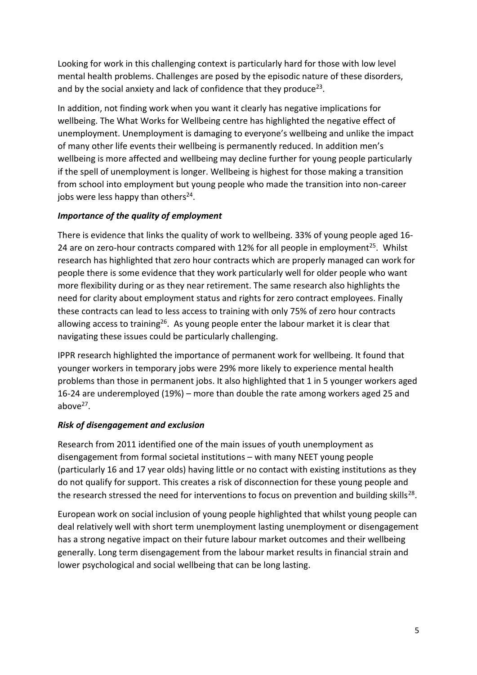Looking for work in this challenging context is particularly hard for those with low level mental health problems. Challenges are posed by the episodic nature of these disorders, and by the social anxiety and lack of confidence that they produce<sup>23</sup>.

In addition, not finding work when you want it clearly has negative implications for wellbeing. The What Works for Wellbeing centre has highlighted the negative effect of unemployment. Unemployment is damaging to everyone's wellbeing and unlike the impact of many other life events their wellbeing is permanently reduced. In addition men's wellbeing is more affected and wellbeing may decline further for young people particularly if the spell of unemployment is longer. Wellbeing is highest for those making a transition from school into employment but young people who made the transition into non-career jobs were less happy than others<sup>24</sup>.

### *Importance of the quality of employment*

There is evidence that links the quality of work to wellbeing. 33% of young people aged 16- 24 are on zero-hour contracts compared with 12% for all people in employment<sup>25</sup>. Whilst research has highlighted that zero hour contracts which are properly managed can work for people there is some evidence that they work particularly well for older people who want more flexibility during or as they near retirement. The same research also highlights the need for clarity about employment status and rights for zero contract employees. Finally these contracts can lead to less access to training with only 75% of zero hour contracts allowing access to training<sup>26</sup>. As young people enter the labour market it is clear that navigating these issues could be particularly challenging.

IPPR research highlighted the importance of permanent work for wellbeing. It found that younger workers in temporary jobs were 29% more likely to experience mental health problems than those in permanent jobs. It also highlighted that 1 in 5 younger workers aged 16-24 are underemployed (19%) – more than double the rate among workers aged 25 and above $^{27}$ .

### *Risk of disengagement and exclusion*

Research from 2011 identified one of the main issues of youth unemployment as disengagement from formal societal institutions – with many NEET young people (particularly 16 and 17 year olds) having little or no contact with existing institutions as they do not qualify for support. This creates a risk of disconnection for these young people and the research stressed the need for interventions to focus on prevention and building skills<sup>28</sup>.

European work on social inclusion of young people highlighted that whilst young people can deal relatively well with short term unemployment lasting unemployment or disengagement has a strong negative impact on their future labour market outcomes and their wellbeing generally. Long term disengagement from the labour market results in financial strain and lower psychological and social wellbeing that can be long lasting.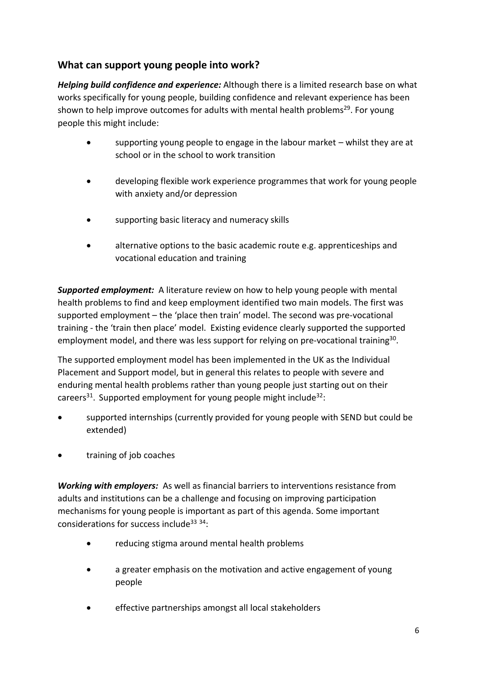### **What can support young people into work?**

*Helping build confidence and experience:* Although there is a limited research base on what works specifically for young people, building confidence and relevant experience has been shown to help improve outcomes for adults with mental health problems<sup>29</sup>. For young people this might include:

- supporting young people to engage in the labour market whilst they are at school or in the school to work transition
- developing flexible work experience programmes that work for young people with anxiety and/or depression
- supporting basic literacy and numeracy skills
- alternative options to the basic academic route e.g. apprenticeships and vocational education and training

*Supported employment:* A literature review on how to help young people with mental health problems to find and keep employment identified two main models. The first was supported employment – the 'place then train' model. The second was pre-vocational training - the 'train then place' model. Existing evidence clearly supported the supported employment model, and there was less support for relying on pre-vocational training<sup>30</sup>.

The supported employment model has been implemented in the UK as the Individual Placement and Support model, but in general this relates to people with severe and enduring mental health problems rather than young people just starting out on their careers<sup>31</sup>. Supported employment for young people might include<sup>32</sup>:

- supported internships (currently provided for young people with SEND but could be extended)
- training of job coaches

*Working with employers:* As well as financial barriers to interventions resistance from adults and institutions can be a challenge and focusing on improving participation mechanisms for young people is important as part of this agenda. Some important considerations for success include<sup>33</sup> 34:

- reducing stigma around mental health problems
- a greater emphasis on the motivation and active engagement of young people
- effective partnerships amongst all local stakeholders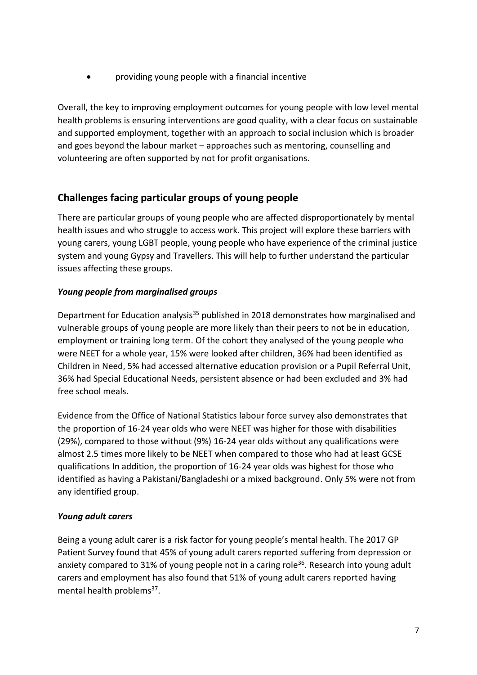providing young people with a financial incentive

Overall, the key to improving employment outcomes for young people with low level mental health problems is ensuring interventions are good quality, with a clear focus on sustainable and supported employment, together with an approach to social inclusion which is broader and goes beyond the labour market – approaches such as mentoring, counselling and volunteering are often supported by not for profit organisations.

### **Challenges facing particular groups of young people**

There are particular groups of young people who are affected disproportionately by mental health issues and who struggle to access work. This project will explore these barriers with young carers, young LGBT people, young people who have experience of the criminal justice system and young Gypsy and Travellers. This will help to further understand the particular issues affecting these groups.

### *Young people from marginalised groups*

Department for Education analysis<sup>35</sup> published in 2018 demonstrates how marginalised and vulnerable groups of young people are more likely than their peers to not be in education, employment or training long term. Of the cohort they analysed of the young people who were NEET for a whole year, 15% were looked after children, 36% had been identified as Children in Need, 5% had accessed alternative education provision or a Pupil Referral Unit, 36% had Special Educational Needs, persistent absence or had been excluded and 3% had free school meals.

Evidence from the Office of National Statistics labour force survey also demonstrates that the proportion of 16-24 year olds who were NEET was higher for those with disabilities (29%), compared to those without (9%) 16-24 year olds without any qualifications were almost 2.5 times more likely to be NEET when compared to those who had at least GCSE qualifications In addition, the proportion of 16-24 year olds was highest for those who identified as having a Pakistani/Bangladeshi or a mixed background. Only 5% were not from any identified group.

### *Young adult carers*

Being a young adult carer is a risk factor for young people's mental health. The 2017 GP Patient Survey found that 45% of young adult carers reported suffering from depression or anxiety compared to 31% of young people not in a caring role<sup>36</sup>. Research into young adult carers and employment has also found that 51% of young adult carers reported having mental health problems<sup>37</sup>.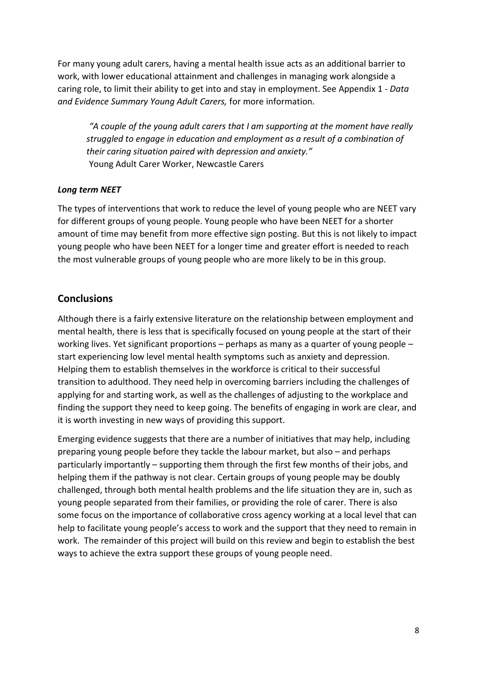For many young adult carers, having a mental health issue acts as an additional barrier to work, with lower educational attainment and challenges in managing work alongside a caring role, to limit their ability to get into and stay in employment. See Appendix 1 - *Data and Evidence Summary Young Adult Carers,* for more information*.* 

*"A couple of the young adult carers that I am supporting at the moment have really struggled to engage in education and employment as a result of a combination of their caring situation paired with depression and anxiety."* Young Adult Carer Worker, Newcastle Carers

#### *Long term NEET*

The types of interventions that work to reduce the level of young people who are NEET vary for different groups of young people. Young people who have been NEET for a shorter amount of time may benefit from more effective sign posting. But this is not likely to impact young people who have been NEET for a longer time and greater effort is needed to reach the most vulnerable groups of young people who are more likely to be in this group.

### **Conclusions**

Although there is a fairly extensive literature on the relationship between employment and mental health, there is less that is specifically focused on young people at the start of their working lives. Yet significant proportions – perhaps as many as a quarter of young people – start experiencing low level mental health symptoms such as anxiety and depression. Helping them to establish themselves in the workforce is critical to their successful transition to adulthood. They need help in overcoming barriers including the challenges of applying for and starting work, as well as the challenges of adjusting to the workplace and finding the support they need to keep going. The benefits of engaging in work are clear, and it is worth investing in new ways of providing this support.

Emerging evidence suggests that there are a number of initiatives that may help, including preparing young people before they tackle the labour market, but also – and perhaps particularly importantly – supporting them through the first few months of their jobs, and helping them if the pathway is not clear. Certain groups of young people may be doubly challenged, through both mental health problems and the life situation they are in, such as young people separated from their families, or providing the role of carer. There is also some focus on the importance of collaborative cross agency working at a local level that can help to facilitate young people's access to work and the support that they need to remain in work. The remainder of this project will build on this review and begin to establish the best ways to achieve the extra support these groups of young people need.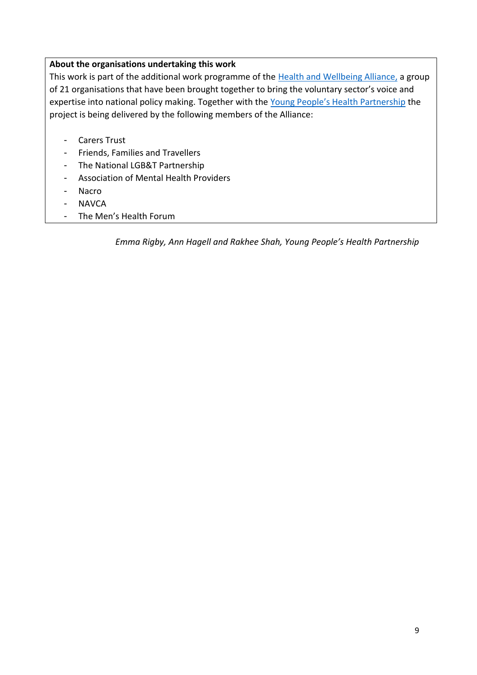#### **About the organisations undertaking this work**

This work is part of the additional work programme of the [Health and Wellbeing Alliance,](https://www.england.nhs.uk/hwalliance/) a group of 21 organisations that have been brought together to bring the voluntary sector's voice and expertise into national policy making. Together with the [Young People's Health Partnership](http://www.youngpeopleshealth.org.uk/yphp) the project is being delivered by the following members of the Alliance:

- Carers Trust
- Friends, Families and Travellers
- The National LGB&T Partnership
- Association of Mental Health Providers
- Nacro
- NAVCA
- The Men's Health Forum

*Emma Rigby, Ann Hagell and Rakhee Shah, Young People's Health Partnership*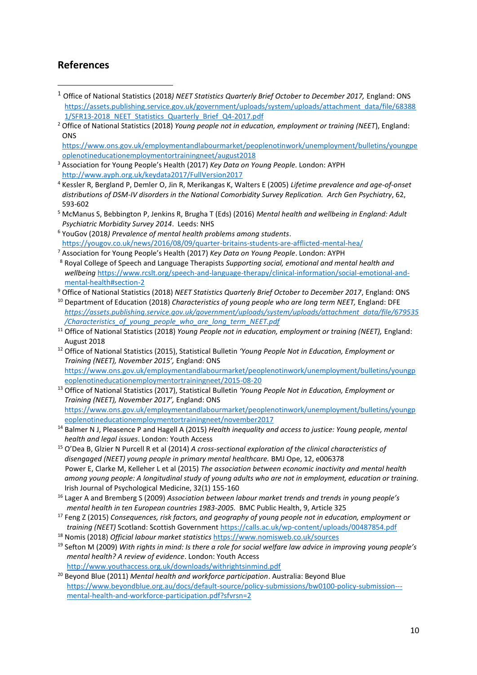### **References**

**.** 

- <sup>1</sup> Office of National Statistics (2018*) NEET Statistics Quarterly Brief October to December 2017,* England: ONS [https://assets.publishing.service.gov.uk/government/uploads/system/uploads/attachment\\_data/file/68388](https://assets.publishing.service.gov.uk/government/uploads/system/uploads/attachment_data/file/683881/SFR13-2018_NEET_Statistics_Quarterly_Brief_Q4-2017.pdf) [1/SFR13-2018\\_NEET\\_Statistics\\_Quarterly\\_Brief\\_Q4-2017.pdf](https://assets.publishing.service.gov.uk/government/uploads/system/uploads/attachment_data/file/683881/SFR13-2018_NEET_Statistics_Quarterly_Brief_Q4-2017.pdf)
- <sup>2</sup> Office of National Statistics (2018) *Young people not in education, employment or training (NEET*), England: **ONS**

[https://www.ons.gov.uk/employmentandlabourmarket/peoplenotinwork/unemployment/bulletins/youngpe](https://www.ons.gov.uk/employmentandlabourmarket/peoplenotinwork/unemployment/bulletins/youngpeoplenotineducationemploymentortrainingneet/august2018) [oplenotineducationemploymentortrainingneet/august2018](https://www.ons.gov.uk/employmentandlabourmarket/peoplenotinwork/unemployment/bulletins/youngpeoplenotineducationemploymentortrainingneet/august2018)

- <sup>3</sup> Association for Young People's Health (2017) *Key Data on Young People.* London: AYPH <http://www.ayph.org.uk/keydata2017/FullVersion2017>
- <sup>4</sup> Kessler R, Bergland P, Demler O, Jin R, Merikangas K, Walters E (2005) *Lifetime prevalence and age-of-onset distributions of DSM-IV disorders in the National Comorbidity Survey Replication. Arch Gen Psychiatry*, 62, 593-602
- <sup>5</sup> McManus S, Bebbington P, Jenkins R, Brugha T (Eds) (2016) *Mental health and wellbeing in England: Adult Psychiatric Morbidity Survey 2014*. Leeds: NHS
- <sup>6</sup> YouGov (2018*) Prevalence of mental health problems among students*. <https://yougov.co.uk/news/2016/08/09/quarter-britains-students-are-afflicted-mental-hea/>
- <sup>7</sup> Association for Young People's Health (2017) *Key Data on Young People*. London: AYPH

<sup>8</sup> Royal College of Speech and Language Therapists *Supporting social, emotional and mental health and wellbeing* [https://www.rcslt.org/speech-and-language-therapy/clinical-information/social-emotional-and](https://www.rcslt.org/speech-and-language-therapy/clinical-information/social-emotional-and-mental-health%23section-2)[mental-health#section-2](https://www.rcslt.org/speech-and-language-therapy/clinical-information/social-emotional-and-mental-health%23section-2)

<sup>9</sup> Office of National Statistics (2018) *NEET Statistics Quarterly Brief October to December 2017*, England: ONS

- <sup>10</sup> Department of Education (2018) *Characteristics of young people who are long term NEET*, England: DFE *[https://assets.publishing.service.gov.uk/government/uploads/system/uploads/attachment\\_data/file/679535](https://assets.publishing.service.gov.uk/government/uploads/system/uploads/attachment_data/file/679535/Characteristics_of_young_people_who_are_long_term_NEET.pdf) [/Characteristics\\_of\\_young\\_people\\_who\\_are\\_long\\_term\\_NEET.pdf](https://assets.publishing.service.gov.uk/government/uploads/system/uploads/attachment_data/file/679535/Characteristics_of_young_people_who_are_long_term_NEET.pdf)*
- <sup>11</sup> Office of National Statistics (2018) *Young People not in education, employment or training (NEET),* England: August 2018
- <sup>12</sup> Office of National Statistics (2015), Statistical Bulletin *'Young People Not in Education, Employment or Training (NEET), November 2015',* England: ONS [https://www.ons.gov.uk/employmentandlabourmarket/peoplenotinwork/unemployment/bulletins/youngp](https://www.ons.gov.uk/employmentandlabourmarket/peoplenotinwork/unemployment/bulletins/youngpeoplenotineducationemploymentortrainingneet/2015-08-20) [eoplenotineducationemploymentortrainingneet/2015-08-20](https://www.ons.gov.uk/employmentandlabourmarket/peoplenotinwork/unemployment/bulletins/youngpeoplenotineducationemploymentortrainingneet/2015-08-20)
- <sup>13</sup> Office of National Statistics (2017), Statistical Bulletin *'Young People Not in Education, Employment or Training (NEET), November 2017',* England: ONS [https://www.ons.gov.uk/employmentandlabourmarket/peoplenotinwork/unemployment/bulletins/youngp](https://www.ons.gov.uk/employmentandlabourmarket/peoplenotinwork/unemployment/bulletins/youngpeoplenotineducationemploymentortrainingneet/november2017) [eoplenotineducationemploymentortrainingneet/november2017](https://www.ons.gov.uk/employmentandlabourmarket/peoplenotinwork/unemployment/bulletins/youngpeoplenotineducationemploymentortrainingneet/november2017)

<sup>14</sup> Balmer N J, Pleasence P and Hagell A (2015) *Health inequality and access to justice: Young people, mental health and legal issues*. London: Youth Access

<sup>15</sup> O'Dea B, Glzier N Purcell R et al (2014) *A cross-sectional exploration of the clinical characteristics of disengaged (NEET) young people in primary mental healthcare.* BMJ Ope, 12, e006378 Power E, Clarke M, Kelleher L et al (2015) *The association between economic inactivity and mental health among young people: A longitudinal study of young adults who are not in employment, education or training.*  Irish Journal of Psychological Medicine, 32(1) 155-160

- <sup>16</sup> Lager A and Bremberg S (2009) *Association between labour market trends and trends in young people's mental health in ten European countries 1983-2005.* BMC Public Health, 9, Article 325
- <sup>17</sup> Feng Z (2015) *Consequences, risk factors, and geography of young people not in education, employment or training (NEET)* Scotland: Scottish Government <https://calls.ac.uk/wp-content/uploads/00487854.pdf>
- <sup>18</sup> Nomis (2018) *Official labour market statistics* <https://www.nomisweb.co.uk/sources>
- <sup>19</sup> Sefton M (2009) *With rights in mind: Is there a role for social welfare law advice in improving young people's mental health? A review of evidence*. London: Youth Access <http://www.youthaccess.org.uk/downloads/withrightsinmind.pdf>

<sup>20</sup> Beyond Blue (2011) *Mental health and workforce participation*. Australia: Beyond Blue [https://www.beyondblue.org.au/docs/default-source/policy-submissions/bw0100-policy-submission--](https://www.beyondblue.org.au/docs/default-source/policy-submissions/bw0100-policy-submission---mental-health-and-workforce-participation.pdf?sfvrsn=2) [mental-health-and-workforce-participation.pdf?sfvrsn=2](https://www.beyondblue.org.au/docs/default-source/policy-submissions/bw0100-policy-submission---mental-health-and-workforce-participation.pdf?sfvrsn=2)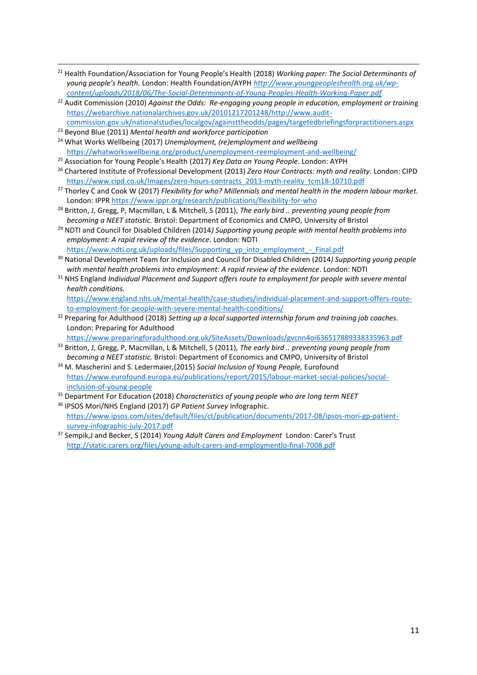- 1 <sup>21</sup> Health Foundation/Association for Young People's Health (2018) *Working paper: The Social Determinants of young people's health.* London: Health Foundation/AYPH *[http://www.youngpeopleshealth.org.uk/wp](http://www.youngpeopleshealth.org.uk/wp-content/uploads/2018/06/The-Social-Determinants-of-Young-Peoples-Health-Working-Paper.pdf)[content/uploads/2018/06/The-Social-Determinants-of-Young-Peoples-Health-Working-Paper.pdf](http://www.youngpeopleshealth.org.uk/wp-content/uploads/2018/06/The-Social-Determinants-of-Young-Peoples-Health-Working-Paper.pdf)*
- <sup>22</sup> Audit Commission (2010) *Against the Odds: Re-engaging young people in education, employment or training* [https://webarchive.nationalarchives.gov.uk/20101217201248/http://www.audit](https://webarchive.nationalarchives.gov.uk/20101217201248/http:/www.audit-commission.gov.uk/nationalstudies/localgov/againsttheodds/pages/targetedbriefingsforpractitioners.aspx)[commission.gov.uk/nationalstudies/localgov/againsttheodds/pages/targetedbriefingsforpractitioners.aspx](https://webarchive.nationalarchives.gov.uk/20101217201248/http:/www.audit-commission.gov.uk/nationalstudies/localgov/againsttheodds/pages/targetedbriefingsforpractitioners.aspx)
- <sup>23</sup> Beyond Blue (2011) *Mental health and workforce participation*
- <sup>24</sup> What Works Wellbeing (2017) *Unemployment, (re)employment and wellbeing* <https://whatworkswellbeing.org/product/unemployment-reemployment-and-wellbeing/>
- <sup>25</sup> Association for Young People's Health (2017) *Key Data on Young People*. London: AYPH
- <sup>26</sup> Chartered Institute of Professional Development (2013) *Zero Hour Contracts: myth and reality.* London: CIPD [https://www.cipd.co.uk/Images/zero-hours-contracts\\_2013-myth-reality\\_tcm18-10710.pdf](https://www.cipd.co.uk/Images/zero-hours-contracts_2013-myth-reality_tcm18-10710.pdf)
- <sup>27</sup> Thorley C and Cook W (2017) *Flexibility for who? Millennials and mental health in the modern labour market.*  London: IPPR <https://www.ippr.org/research/publications/flexibility-for-who>
- <sup>28</sup> Britton, J, Gregg, P, Macmillan, L & Mitchell, S (2011), *The early bird .. preventing young people from becoming a NEET statistic.* Bristol: Department of Economics and CMPO, University of Bristol
- <sup>29</sup> NDTI and Council for Disabled Children (2014*) Supporting young people with mental health problems into employment: A rapid review of the evidence*. London: NDTI [https://www.ndti.org.uk/uploads/files/Supporting\\_yp\\_into\\_employment\\_-\\_Final.pdf](https://www.ndti.org.uk/uploads/files/Supporting_yp_into_employment_-_Final.pdf)
- <sup>30</sup> National Development Team for Inclusion and Council for Disabled Children (2014*) Supporting young people with mental health problems into employment: A rapid review of the evidence*. London: NDTI
- <sup>31</sup> NHS England *Individual Placement and Support offers route to employment for people with severe mental health conditions.*

[https://www.england.nhs.uk/mental-health/case-studies/individual-placement-and-support-offers-route](https://www.england.nhs.uk/mental-health/case-studies/individual-placement-and-support-offers-route-to-employment-for-people-with-severe-mental-health-conditions/)[to-employment-for-people-with-severe-mental-health-conditions/](https://www.england.nhs.uk/mental-health/case-studies/individual-placement-and-support-offers-route-to-employment-for-people-with-severe-mental-health-conditions/)

- <sup>32</sup> Preparing for Adulthood (2018) *Setting up a local supported internship forum and training job coaches.* London: Preparing for Adulthood
	- <https://www.preparingforadulthood.org.uk/SiteAssets/Downloads/gvcnn4oi636517889338335963.pdf>
- <sup>33</sup> Britton, J, Gregg, P, Macmillan, L & Mitchell, S (2011), *The early bird .. preventing young people from becoming a NEET statistic.* Bristol: Department of Economics and CMPO, University of Bristol
- <sup>34</sup> M. Mascherini and S. Ledermaier,(2015) *Social Inclusion of Young People,* Eurofound [https://www.eurofound.europa.eu/publications/report/2015/labour-market-social-policies/social](https://www.eurofound.europa.eu/publications/report/2015/labour-market-social-policies/social-inclusion-of-young-people)[inclusion-of-young-people](https://www.eurofound.europa.eu/publications/report/2015/labour-market-social-policies/social-inclusion-of-young-people)
- <sup>35</sup> Department For Education (2018) *Characteristics of young people who are long term NEET* <sup>36</sup> IPSOS Mori/NHS England (2017) *GP Patient Survey* Infographic.
- [https://www.ipsos.com/sites/default/files/ct/publication/documents/2017-08/ipsos-mori-gp-patient](https://www.ipsos.com/sites/default/files/ct/publication/documents/2017-08/ipsos-mori-gp-patient-survey-infographic-july-2017.pdf)[survey-infographic-july-2017.pdf](https://www.ipsos.com/sites/default/files/ct/publication/documents/2017-08/ipsos-mori-gp-patient-survey-infographic-july-2017.pdf)
- <sup>37</sup> Sempik,J and Becker, S (2014) *Young Adult Carers and Employment* London: Carer's Trust <http://static.carers.org/files/young-adult-carers-and-employmentlo-final-7008.pdf>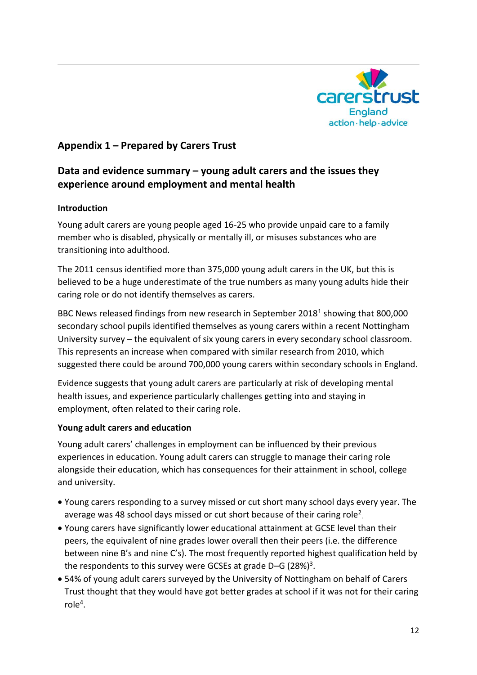

### **Appendix 1 – Prepared by Carers Trust**

## **Data and evidence summary – young adult carers and the issues they experience around employment and mental health**

#### **Introduction**

1

Young adult carers are young people aged 16-25 who provide unpaid care to a family member who is disabled, physically or mentally ill, or misuses substances who are transitioning into adulthood.

The 2011 census identified more than 375,000 young adult carers in the UK, but this is believed to be a huge underestimate of the true numbers as many young adults hide their caring role or do not identify themselves as carers.

BBC News released findings from new research in September 2018<sup>1</sup> showing that 800,000 secondary school pupils identified themselves as young carers within a recent Nottingham University survey – the equivalent of six young carers in every secondary school classroom. This represents an increase when compared with similar research from 2010, which suggested there could be around 700,000 young carers within secondary schools in England.

Evidence suggests that young adult carers are particularly at risk of developing mental health issues, and experience particularly challenges getting into and staying in employment, often related to their caring role.

#### **Young adult carers and education**

Young adult carers' challenges in employment can be influenced by their previous experiences in education. Young adult carers can struggle to manage their caring role alongside their education, which has consequences for their attainment in school, college and university.

- Young carers responding to a survey missed or cut short many school days every year. The average was 48 school days missed or cut short because of their caring role<sup>2</sup>.
- Young carers have significantly lower educational attainment at GCSE level than their peers, the equivalent of nine grades lower overall then their peers (i.e. the difference between nine B's and nine C's). The most frequently reported highest qualification held by the respondents to this survey were GCSEs at grade D-G (28%)<sup>3</sup>.
- 54% of young adult carers surveyed by the University of Nottingham on behalf of Carers Trust thought that they would have got better grades at school if it was not for their caring  $role<sup>4</sup>$ .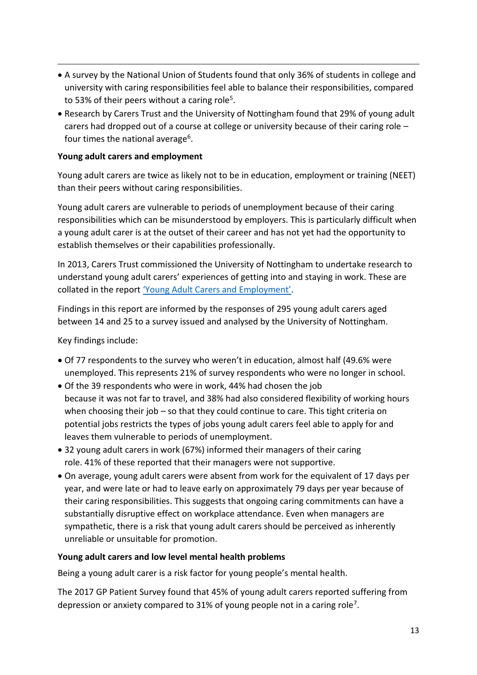- A survey by the National Union of Students found that only 36% of students in college and university with caring responsibilities feel able to balance their responsibilities, compared to 53% of their peers without a caring role<sup>5</sup>.
- Research by Carers Trust and the University of Nottingham found that 29% of young adult carers had dropped out of a course at college or university because of their caring role – four times the national average<sup>6</sup>.

#### **Young adult carers and employment**

1

Young adult carers are twice as likely not to be in education, employment or training (NEET) than their peers without caring responsibilities.

Young adult carers are vulnerable to periods of unemployment because of their caring responsibilities which can be misunderstood by employers. This is particularly difficult when a young adult carer is at the outset of their career and has not yet had the opportunity to establish themselves or their capabilities professionally.

In 2013, Carers Trust commissioned the University of Nottingham to undertake research to understand young adult carers' experiences of getting into and staying in work. These are collated in the report ['Young Adult Carers and Employment'](https://professionals.carers.org/sites/default/files/young_adult_carers_and_employment.pdf).

Findings in this report are informed by the responses of 295 young adult carers aged between 14 and 25 to a survey issued and analysed by the University of Nottingham.

Key findings include:

- Of 77 respondents to the survey who weren't in education, almost half (49.6% were unemployed. This represents 21% of survey respondents who were no longer in school.
- Of the 39 respondents who were in work, 44% had chosen the job because it was not far to travel, and 38% had also considered flexibility of working hours when choosing their job – so that they could continue to care. This tight criteria on potential jobs restricts the types of jobs young adult carers feel able to apply for and leaves them vulnerable to periods of unemployment.
- 32 young adult carers in work (67%) informed their managers of their caring role. 41% of these reported that their managers were not supportive.
- On average, young adult carers were absent from work for the equivalent of 17 days per year, and were late or had to leave early on approximately 79 days per year because of their caring responsibilities. This suggests that ongoing caring commitments can have a substantially disruptive effect on workplace attendance. Even when managers are sympathetic, there is a risk that young adult carers should be perceived as inherently unreliable or unsuitable for promotion.

#### **Young adult carers and low level mental health problems**

Being a young adult carer is a risk factor for young people's mental health.

The 2017 GP Patient Survey found that 45% of young adult carers reported suffering from depression or anxiety compared to 31% of young people not in a caring role<sup>7</sup>.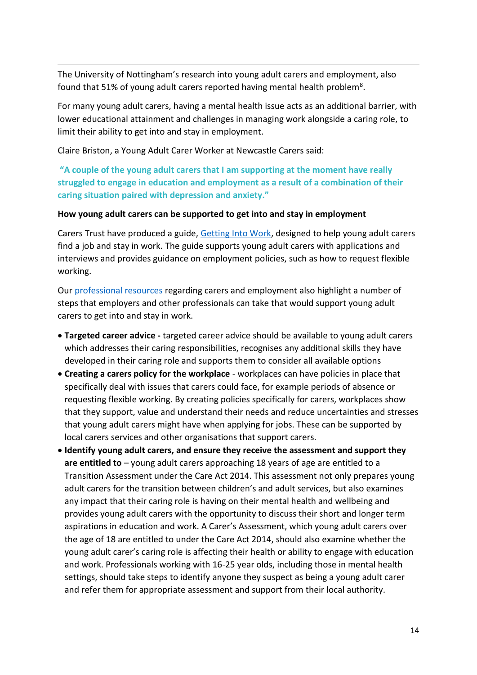The University of Nottingham's research into young adult carers and employment, also found that 51% of young adult carers reported having mental health problem<sup>8</sup>.

For many young adult carers, having a mental health issue acts as an additional barrier, with lower educational attainment and challenges in managing work alongside a caring role, to limit their ability to get into and stay in employment.

Claire Briston, a Young Adult Carer Worker at Newcastle Carers said:

1

**"A couple of the young adult carers that I am supporting at the moment have really struggled to engage in education and employment as a result of a combination of their caring situation paired with depression and anxiety."**

#### **How young adult carers can be supported to get into and stay in employment**

Carers Trust have produced a guide, [Getting Into Work,](https://carers.org/sites/default/files/media/employment_booklet_a5_leaflet_version_4_final.pdf) designed to help young adult carers find a job and stay in work. The guide supports young adult carers with applications and interviews and provides guidance on employment policies, such as how to request flexible working.

Our [professional resources](https://professionals.carers.org/search-professionals?search_api_views_fulltext=employment) regarding carers and employment also highlight a number of steps that employers and other professionals can take that would support young adult carers to get into and stay in work.

- **Targeted career advice -** targeted career advice should be available to young adult carers which addresses their caring responsibilities, recognises any additional skills they have developed in their caring role and supports them to consider all available options
- **Creating a carers policy for the workplace** workplaces can have policies in place that specifically deal with issues that carers could face, for example periods of absence or requesting flexible working. By creating policies specifically for carers, workplaces show that they support, value and understand their needs and reduce uncertainties and stresses that young adult carers might have when applying for jobs. These can be supported by local carers services and other organisations that support carers.
- **Identify young adult carers, and ensure they receive the assessment and support they are entitled to** – young adult carers approaching 18 years of age are entitled to a Transition Assessment under the Care Act 2014. This assessment not only prepares young adult carers for the transition between children's and adult services, but also examines any impact that their caring role is having on their mental health and wellbeing and provides young adult carers with the opportunity to discuss their short and longer term aspirations in education and work. A Carer's Assessment, which young adult carers over the age of 18 are entitled to under the Care Act 2014, should also examine whether the young adult carer's caring role is affecting their health or ability to engage with education and work. Professionals working with 16-25 year olds, including those in mental health settings, should take steps to identify anyone they suspect as being a young adult carer and refer them for appropriate assessment and support from their local authority.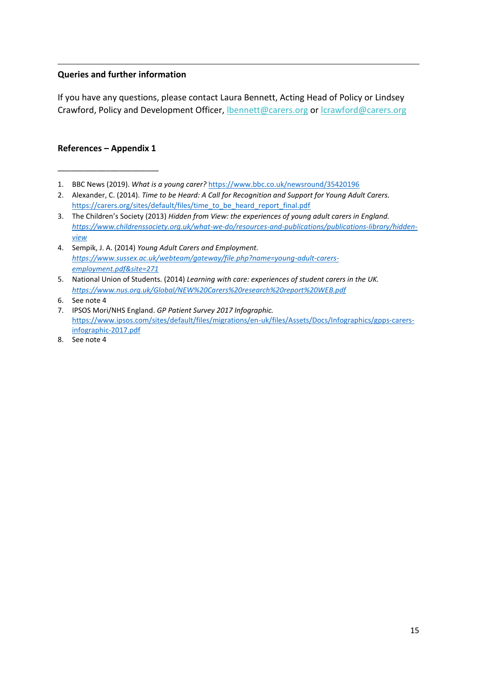#### **Queries and further information**

If you have any questions, please contact Laura Bennett, Acting Head of Policy or Lindsey Crawford, Policy and Development Officer, [lbennett@carers.org](mailto:lbennett@carers.org) or [lcrawford@carers.org](mailto:lcrawford@carers.org)

#### **References – Appendix 1**

\_\_\_\_\_\_\_\_\_\_\_\_\_\_\_\_\_\_\_\_\_\_\_

1

- 1. BBC News (2019). *What is a young carer?* <https://www.bbc.co.uk/newsround/35420196>
- 2. Alexander, C. (2014). *Time to be Heard: A Call for Recognition and Support for Young Adult Carers.* [https://carers.org/sites/default/files/time\\_to\\_be\\_heard\\_report\\_final.pdf](https://carers.org/sites/default/files/time_to_be_heard_report_final.pdf)
- 3. The Children's Society (2013) *Hidden from View: the experiences of young adult carers in England. [https://www.childrenssociety.org.uk/what-we-do/resources-and-publications/publications-library/hidden](https://www.childrenssociety.org.uk/what-we-do/resources-and-publications/publications-library/hidden-view)[view](https://www.childrenssociety.org.uk/what-we-do/resources-and-publications/publications-library/hidden-view)*
- 4. Sempik, J. A. (2014) *Young Adult Carers and Employment. [https://www.sussex.ac.uk/webteam/gateway/file.php?name=young-adult-carers](https://www.sussex.ac.uk/webteam/gateway/file.php?name=young-adult-carers-employment.pdf&site=271)[employment.pdf&site=271](https://www.sussex.ac.uk/webteam/gateway/file.php?name=young-adult-carers-employment.pdf&site=271)*

8. See note 4

<sup>5.</sup> National Union of Students. (2014) *Learning with care: experiences of student carers in the UK. <https://www.nus.org.uk/Global/NEW%20Carers%20research%20report%20WEB.pdf>*

<sup>6.</sup> See note 4

<sup>7.</sup> IPSOS Mori/NHS England. *GP Patient Survey 2017 Infographic.* [https://www.ipsos.com/sites/default/files/migrations/en-uk/files/Assets/Docs/Infographics/gpps-carers](https://www.ipsos.com/sites/default/files/migrations/en-uk/files/Assets/Docs/Infographics/gpps-carers-infographic-2017.pdf)[infographic-2017.pdf](https://www.ipsos.com/sites/default/files/migrations/en-uk/files/Assets/Docs/Infographics/gpps-carers-infographic-2017.pdf)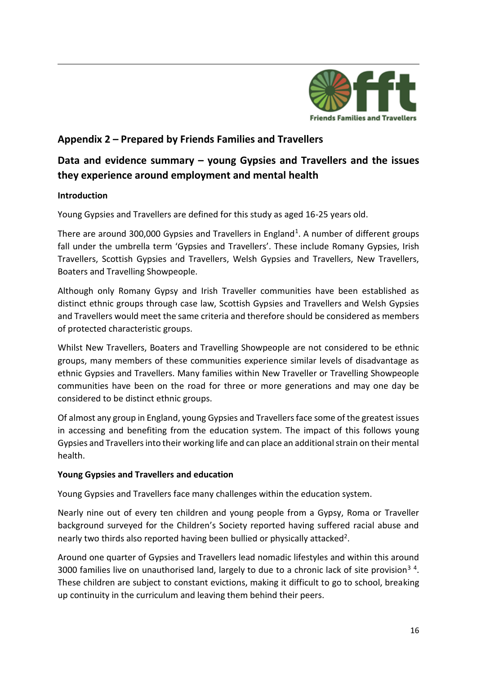

## **Appendix 2 – Prepared by Friends Families and Travellers**

## **Data and evidence summary – young Gypsies and Travellers and the issues they experience around employment and mental health**

#### **Introduction**

1

Young Gypsies and Travellers are defined for this study as aged 16-25 years old.

There are around 300,000 Gypsies and Travellers in England<sup>1</sup>. A number of different groups fall under the umbrella term 'Gypsies and Travellers'. These include Romany Gypsies, Irish Travellers, Scottish Gypsies and Travellers, Welsh Gypsies and Travellers, New Travellers, Boaters and Travelling Showpeople.

Although only Romany Gypsy and Irish Traveller communities have been established as distinct ethnic groups through case law, Scottish Gypsies and Travellers and Welsh Gypsies and Travellers would meet the same criteria and therefore should be considered as members of protected characteristic groups.

Whilst New Travellers, Boaters and Travelling Showpeople are not considered to be ethnic groups, many members of these communities experience similar levels of disadvantage as ethnic Gypsies and Travellers. Many families within New Traveller or Travelling Showpeople communities have been on the road for three or more generations and may one day be considered to be distinct ethnic groups.

Of almost any group in England, young Gypsies and Travellers face some of the greatest issues in accessing and benefiting from the education system. The impact of this follows young Gypsies and Travellers into their working life and can place an additional strain on their mental health.

#### **Young Gypsies and Travellers and education**

Young Gypsies and Travellers face many challenges within the education system.

Nearly nine out of every ten children and young people from a Gypsy, Roma or Traveller background surveyed for the Children's Society reported having suffered racial abuse and nearly two thirds also reported having been bullied or physically attacked<sup>2</sup>.

Around one quarter of Gypsies and Travellers lead nomadic lifestyles and within this around 3000 families live on unauthorised land, largely to due to a chronic lack of site provision<sup>34</sup>. These children are subject to constant evictions, making it difficult to go to school, breaking up continuity in the curriculum and leaving them behind their peers.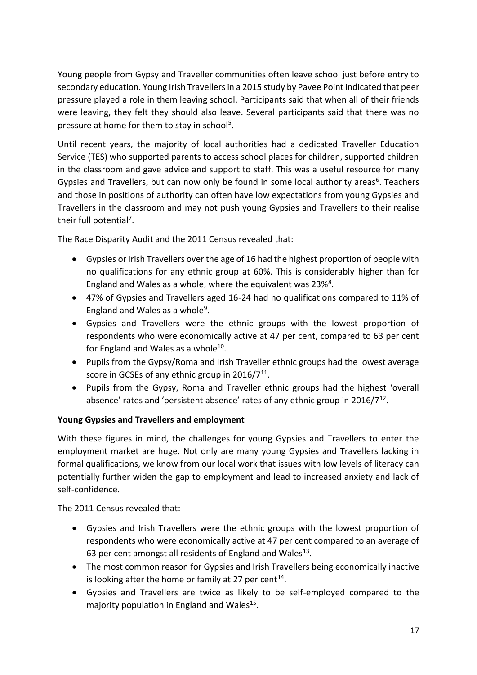1 Young people from Gypsy and Traveller communities often leave school just before entry to secondary education. Young Irish Travellers in a 2015 study by Pavee Point indicated that peer pressure played a role in them leaving school. Participants said that when all of their friends were leaving, they felt they should also leave. Several participants said that there was no pressure at home for them to stay in school<sup>5</sup>.

Until recent years, the majority of local authorities had a dedicated Traveller Education Service (TES) who supported parents to access school places for children, supported children in the classroom and gave advice and support to staff. This was a useful resource for many Gypsies and Travellers, but can now only be found in some local authority areas<sup>6</sup>. Teachers and those in positions of authority can often have low expectations from young Gypsies and Travellers in the classroom and may not push young Gypsies and Travellers to their realise their full potential<sup>7</sup>.

The Race Disparity Audit and the 2011 Census revealed that:

- Gypsies or Irish Travellers over the age of 16 had the highest proportion of people with no qualifications for any ethnic group at 60%. This is considerably higher than for England and Wales as a whole, where the equivalent was 23%<sup>8</sup>.
- 47% of Gypsies and Travellers aged 16-24 had no qualifications compared to 11% of England and Wales as a whole<sup>9</sup>.
- Gypsies and Travellers were the ethnic groups with the lowest proportion of respondents who were economically active at 47 per cent, compared to 63 per cent for England and Wales as a whole<sup>10</sup>.
- Pupils from the Gypsy/Roma and Irish Traveller ethnic groups had the lowest average score in GCSEs of any ethnic group in 2016/7 $11$ .
- Pupils from the Gypsy, Roma and Traveller ethnic groups had the highest 'overall absence' rates and 'persistent absence' rates of any ethnic group in  $2016/7^{12}$ .

### **Young Gypsies and Travellers and employment**

With these figures in mind, the challenges for young Gypsies and Travellers to enter the employment market are huge. Not only are many young Gypsies and Travellers lacking in formal qualifications, we know from our local work that issues with low levels of literacy can potentially further widen the gap to employment and lead to increased anxiety and lack of self-confidence.

The 2011 Census revealed that:

- Gypsies and Irish Travellers were the ethnic groups with the lowest proportion of respondents who were economically active at 47 per cent compared to an average of 63 per cent amongst all residents of England and Wales<sup>13</sup>.
- The most common reason for Gypsies and Irish Travellers being economically inactive is looking after the home or family at 27 per cent<sup>14</sup>.
- Gypsies and Travellers are twice as likely to be self-employed compared to the majority population in England and Wales<sup>15</sup>.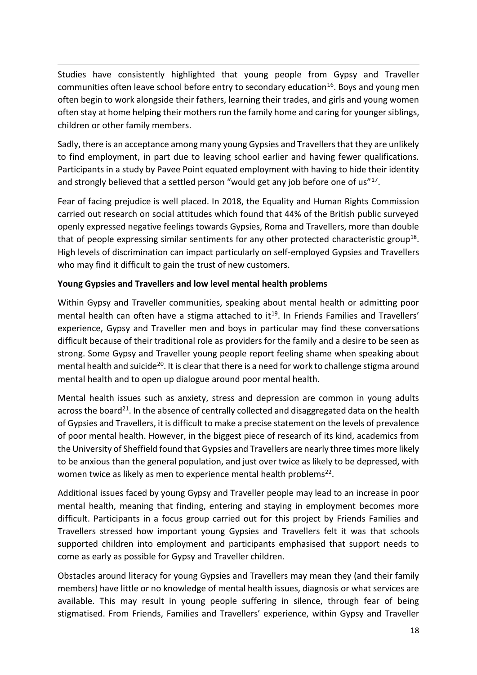Studies have consistently highlighted that young people from Gypsy and Traveller communities often leave school before entry to secondary education<sup>16</sup>. Boys and young men often begin to work alongside their fathers, learning their trades, and girls and young women often stay at home helping their mothers run the family home and caring for younger siblings, children or other family members.

Sadly, there is an acceptance among many young Gypsies and Travellers that they are unlikely to find employment, in part due to leaving school earlier and having fewer qualifications. Participants in a study by Pavee Point equated employment with having to hide their identity and strongly believed that a settled person "would get any job before one of us"<sup>17</sup>.

Fear of facing prejudice is well placed. In 2018, the Equality and Human Rights Commission carried out research on social attitudes which found that 44% of the British public surveyed openly expressed negative feelings towards Gypsies, Roma and Travellers, more than double that of people expressing similar sentiments for any other protected characteristic group<sup>18</sup>. High levels of discrimination can impact particularly on self-employed Gypsies and Travellers who may find it difficult to gain the trust of new customers.

#### **Young Gypsies and Travellers and low level mental health problems**

1

Within Gypsy and Traveller communities, speaking about mental health or admitting poor mental health can often have a stigma attached to it<sup>19</sup>. In Friends Families and Travellers' experience, Gypsy and Traveller men and boys in particular may find these conversations difficult because of their traditional role as providers for the family and a desire to be seen as strong. Some Gypsy and Traveller young people report feeling shame when speaking about mental health and suicide<sup>20</sup>. It is clear that there is a need for work to challenge stigma around mental health and to open up dialogue around poor mental health.

Mental health issues such as anxiety, stress and depression are common in young adults across the board<sup>21</sup>. In the absence of centrally collected and disaggregated data on the health of Gypsies and Travellers, it is difficult to make a precise statement on the levels of prevalence of poor mental health. However, in the biggest piece of research of its kind, academics from the University of Sheffield found that Gypsies and Travellers are nearly three times more likely to be anxious than the general population, and just over twice as likely to be depressed, with women twice as likely as men to experience mental health problems<sup>22</sup>.

Additional issues faced by young Gypsy and Traveller people may lead to an increase in poor mental health, meaning that finding, entering and staying in employment becomes more difficult. Participants in a focus group carried out for this project by Friends Families and Travellers stressed how important young Gypsies and Travellers felt it was that schools supported children into employment and participants emphasised that support needs to come as early as possible for Gypsy and Traveller children.

Obstacles around literacy for young Gypsies and Travellers may mean they (and their family members) have little or no knowledge of mental health issues, diagnosis or what services are available. This may result in young people suffering in silence, through fear of being stigmatised. From Friends, Families and Travellers' experience, within Gypsy and Traveller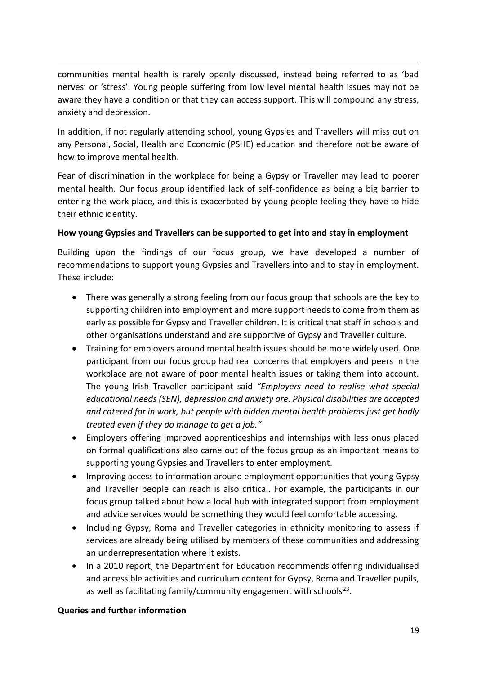communities mental health is rarely openly discussed, instead being referred to as 'bad nerves' or 'stress'. Young people suffering from low level mental health issues may not be aware they have a condition or that they can access support. This will compound any stress, anxiety and depression.

In addition, if not regularly attending school, young Gypsies and Travellers will miss out on any Personal, Social, Health and Economic (PSHE) education and therefore not be aware of how to improve mental health.

Fear of discrimination in the workplace for being a Gypsy or Traveller may lead to poorer mental health. Our focus group identified lack of self-confidence as being a big barrier to entering the work place, and this is exacerbated by young people feeling they have to hide their ethnic identity.

#### **How young Gypsies and Travellers can be supported to get into and stay in employment**

Building upon the findings of our focus group, we have developed a number of recommendations to support young Gypsies and Travellers into and to stay in employment. These include:

- There was generally a strong feeling from our focus group that schools are the key to supporting children into employment and more support needs to come from them as early as possible for Gypsy and Traveller children. It is critical that staff in schools and other organisations understand and are supportive of Gypsy and Traveller culture.
- Training for employers around mental health issues should be more widely used. One participant from our focus group had real concerns that employers and peers in the workplace are not aware of poor mental health issues or taking them into account. The young Irish Traveller participant said *"Employers need to realise what special educational needs (SEN), depression and anxiety are. Physical disabilities are accepted and catered for in work, but people with hidden mental health problems just get badly treated even if they do manage to get a job."*
- Employers offering improved apprenticeships and internships with less onus placed on formal qualifications also came out of the focus group as an important means to supporting young Gypsies and Travellers to enter employment.
- Improving access to information around employment opportunities that young Gypsy and Traveller people can reach is also critical. For example, the participants in our focus group talked about how a local hub with integrated support from employment and advice services would be something they would feel comfortable accessing.
- Including Gypsy, Roma and Traveller categories in ethnicity monitoring to assess if services are already being utilised by members of these communities and addressing an underrepresentation where it exists.
- In a 2010 report, the Department for Education recommends offering individualised and accessible activities and curriculum content for Gypsy, Roma and Traveller pupils, as well as facilitating family/community engagement with schools<sup>23</sup>.

#### **Queries and further information**

1